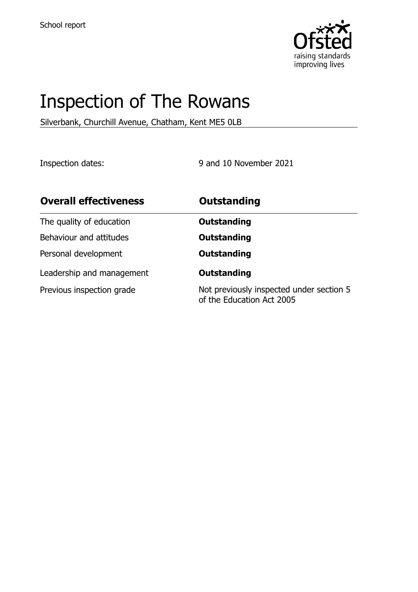

# Inspection of The Rowans

Silverbank, Churchill Avenue, Chatham, Kent ME5 0LB

Inspection dates: 9 and 10 November 2021

| <b>Overall effectiveness</b> | <b>Outstanding</b>                                                    |
|------------------------------|-----------------------------------------------------------------------|
| The quality of education     | <b>Outstanding</b>                                                    |
| Behaviour and attitudes      | <b>Outstanding</b>                                                    |
| Personal development         | <b>Outstanding</b>                                                    |
| Leadership and management    | <b>Outstanding</b>                                                    |
| Previous inspection grade    | Not previously inspected under section 5<br>of the Education Act 2005 |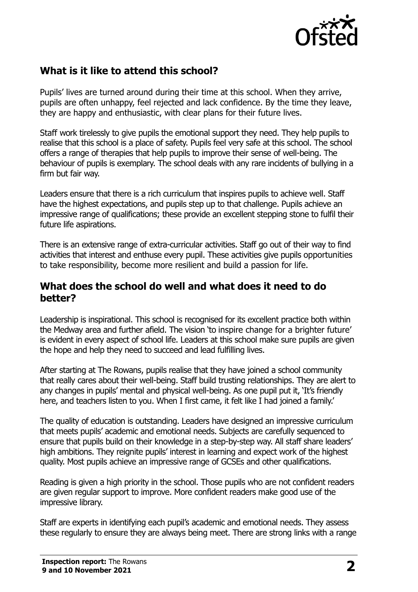

## **What is it like to attend this school?**

Pupils' lives are turned around during their time at this school. When they arrive, pupils are often unhappy, feel rejected and lack confidence. By the time they leave, they are happy and enthusiastic, with clear plans for their future lives.

Staff work tirelessly to give pupils the emotional support they need. They help pupils to realise that this school is a place of safety. Pupils feel very safe at this school. The school offers a range of therapies that help pupils to improve their sense of well-being. The behaviour of pupils is exemplary. The school deals with any rare incidents of bullying in a firm but fair way.

Leaders ensure that there is a rich curriculum that inspires pupils to achieve well. Staff have the highest expectations, and pupils step up to that challenge. Pupils achieve an impressive range of qualifications; these provide an excellent stepping stone to fulfil their future life aspirations.

There is an extensive range of extra-curricular activities. Staff go out of their way to find activities that interest and enthuse every pupil. These activities give pupils opportunities to take responsibility, become more resilient and build a passion for life.

#### **What does the school do well and what does it need to do better?**

Leadership is inspirational. This school is recognised for its excellent practice both within the Medway area and further afield. The vision 'to inspire change for a brighter future' is evident in every aspect of school life. Leaders at this school make sure pupils are given the hope and help they need to succeed and lead fulfilling lives.

After starting at The Rowans, pupils realise that they have joined a school community that really cares about their well-being. Staff build trusting relationships. They are alert to any changes in pupils' mental and physical well-being. As one pupil put it, 'It's friendly here, and teachers listen to you. When I first came, it felt like I had joined a family.'

The quality of education is outstanding. Leaders have designed an impressive curriculum that meets pupils' academic and emotional needs. Subjects are carefully sequenced to ensure that pupils build on their knowledge in a step-by-step way. All staff share leaders' high ambitions. They reignite pupils' interest in learning and expect work of the highest quality. Most pupils achieve an impressive range of GCSEs and other qualifications.

Reading is given a high priority in the school. Those pupils who are not confident readers are given regular support to improve. More confident readers make good use of the impressive library.

Staff are experts in identifying each pupil's academic and emotional needs. They assess these regularly to ensure they are always being meet. There are strong links with a range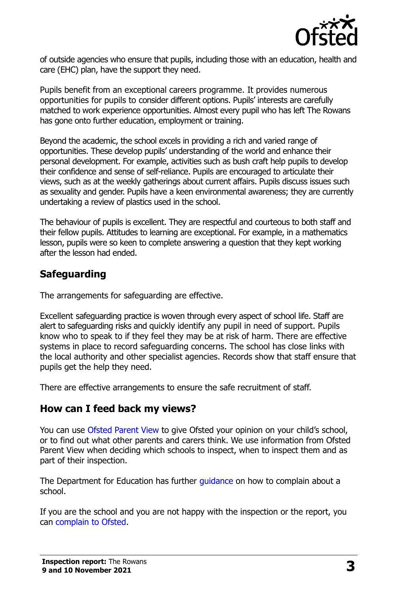

of outside agencies who ensure that pupils, including those with an education, health and care (EHC) plan, have the support they need.

Pupils benefit from an exceptional careers programme. It provides numerous opportunities for pupils to consider different options. Pupils' interests are carefully matched to work experience opportunities. Almost every pupil who has left The Rowans has gone onto further education, employment or training.

Beyond the academic, the school excels in providing a rich and varied range of opportunities. These develop pupils' understanding of the world and enhance their personal development. For example, activities such as bush craft help pupils to develop their confidence and sense of self-reliance. Pupils are encouraged to articulate their views, such as at the weekly gatherings about current affairs. Pupils discuss issues such as sexuality and gender. Pupils have a keen environmental awareness; they are currently undertaking a review of plastics used in the school.

The behaviour of pupils is excellent. They are respectful and courteous to both staff and their fellow pupils. Attitudes to learning are exceptional. For example, in a mathematics lesson, pupils were so keen to complete answering a question that they kept working after the lesson had ended.

#### **Safeguarding**

The arrangements for safeguarding are effective.

Excellent safeguarding practice is woven through every aspect of school life. Staff are alert to safeguarding risks and quickly identify any pupil in need of support. Pupils know who to speak to if they feel they may be at risk of harm. There are effective systems in place to record safeguarding concerns. The school has close links with the local authority and other specialist agencies. Records show that staff ensure that pupils get the help they need.

There are effective arrangements to ensure the safe recruitment of staff.

#### **How can I feed back my views?**

You can use [Ofsted Parent View](http://parentview.ofsted.gov.uk/) to give Ofsted your opinion on your child's school, or to find out what other parents and carers think. We use information from Ofsted Parent View when deciding which schools to inspect, when to inspect them and as part of their inspection.

The Department for Education has further quidance on how to complain about a school.

If you are the school and you are not happy with the inspection or the report, you can [complain to Ofsted.](http://www.gov.uk/complain-ofsted-report)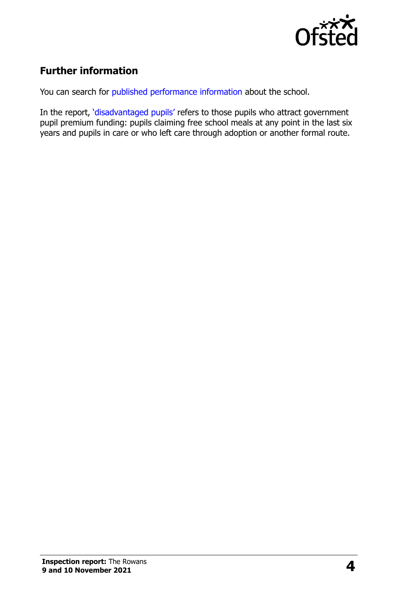

# **Further information**

You can search for [published performance information](http://www.compare-school-performance.service.gov.uk/) about the school.

In the report, '[disadvantaged pupils](http://www.gov.uk/guidance/pupil-premium-information-for-schools-and-alternative-provision-settings)' refers to those pupils who attract government pupil premium funding: pupils claiming free school meals at any point in the last six years and pupils in care or who left care through adoption or another formal route.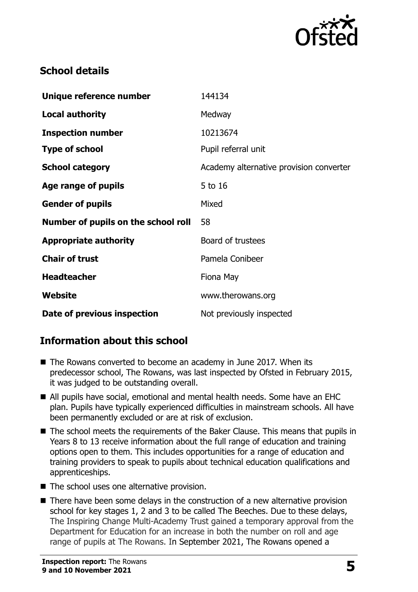

## **School details**

| Unique reference number             | 144134                                  |
|-------------------------------------|-----------------------------------------|
| <b>Local authority</b>              | Medway                                  |
| <b>Inspection number</b>            | 10213674                                |
| <b>Type of school</b>               | Pupil referral unit                     |
| <b>School category</b>              | Academy alternative provision converter |
| Age range of pupils                 | 5 to 16                                 |
| <b>Gender of pupils</b>             | Mixed                                   |
| Number of pupils on the school roll | 58                                      |
| <b>Appropriate authority</b>        | Board of trustees                       |
| <b>Chair of trust</b>               | Pamela Conibeer                         |
| <b>Headteacher</b>                  | Fiona May                               |
| Website                             | www.therowans.org                       |
| Date of previous inspection         | Not previously inspected                |

# **Information about this school**

- The Rowans converted to become an academy in June 2017. When its predecessor school, The Rowans, was last inspected by Ofsted in February 2015, it was judged to be outstanding overall.
- All pupils have social, emotional and mental health needs. Some have an EHC plan. Pupils have typically experienced difficulties in mainstream schools. All have been permanently excluded or are at risk of exclusion.
- The school meets the requirements of the Baker Clause. This means that pupils in Years 8 to 13 receive information about the full range of education and training options open to them. This includes opportunities for a range of education and training providers to speak to pupils about technical education qualifications and apprenticeships.
- The school uses one alternative provision.
- There have been some delays in the construction of a new alternative provision school for key stages 1, 2 and 3 to be called The Beeches. Due to these delays, The Inspiring Change Multi-Academy Trust gained a temporary approval from the Department for Education for an increase in both the number on roll and age range of pupils at The Rowans. In September 2021, The Rowans opened a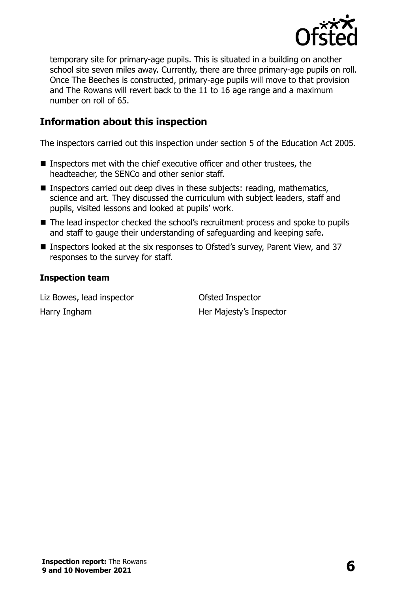

temporary site for primary-age pupils. This is situated in a building on another school site seven miles away. Currently, there are three primary-age pupils on roll. Once The Beeches is constructed, primary-age pupils will move to that provision and The Rowans will revert back to the 11 to 16 age range and a maximum number on roll of 65.

## **Information about this inspection**

The inspectors carried out this inspection under section 5 of the Education Act 2005.

- Inspectors met with the chief executive officer and other trustees, the headteacher, the SENCo and other senior staff.
- **Inspectors carried out deep dives in these subjects: reading, mathematics,** science and art. They discussed the curriculum with subject leaders, staff and pupils, visited lessons and looked at pupils' work.
- The lead inspector checked the school's recruitment process and spoke to pupils and staff to gauge their understanding of safeguarding and keeping safe.
- Inspectors looked at the six responses to Ofsted's survey, Parent View, and 37 responses to the survey for staff.

#### **Inspection team**

Liz Bowes, lead inspector and Ofsted Inspector Harry Ingham Her Majesty's Inspector